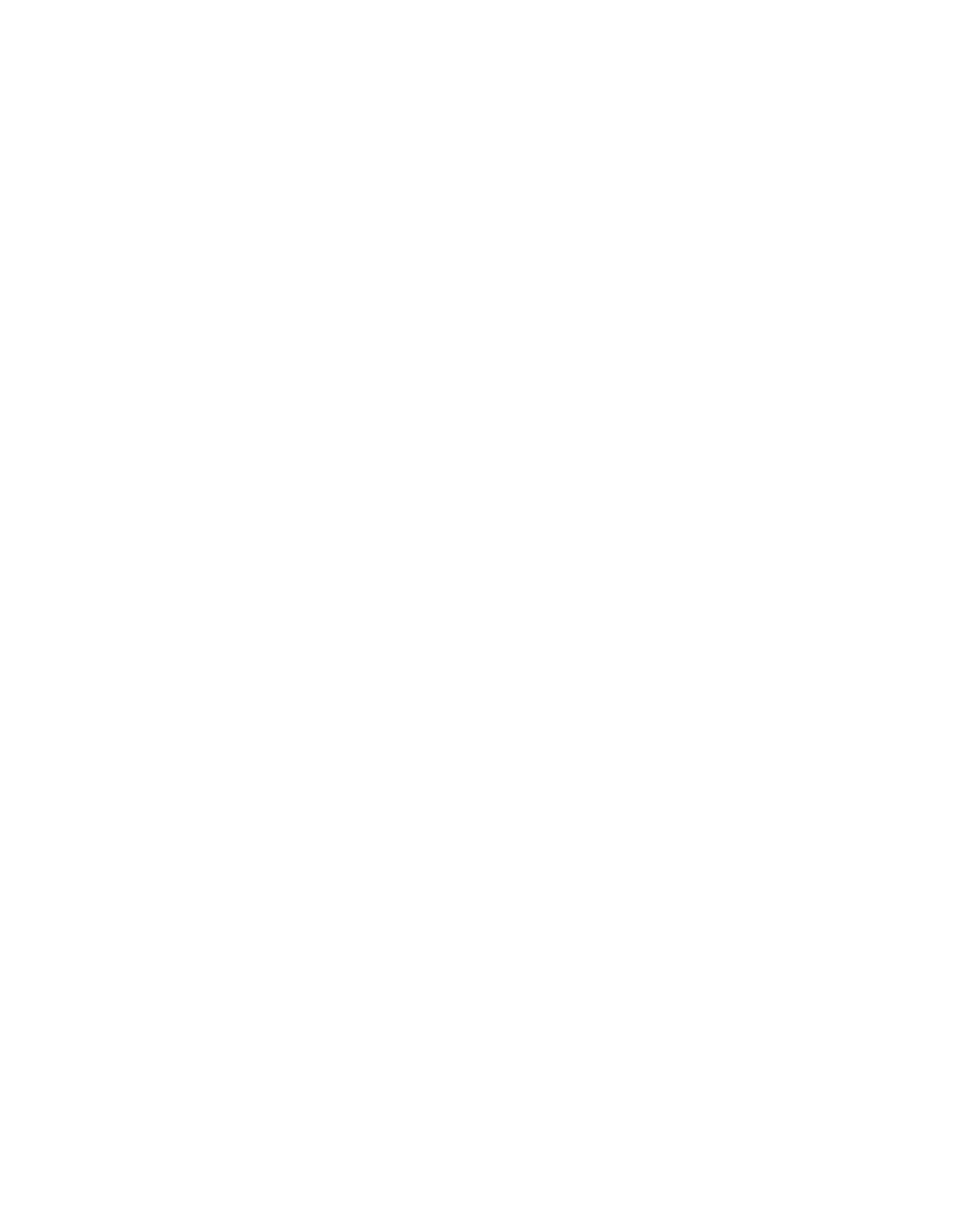# **Table of Contents**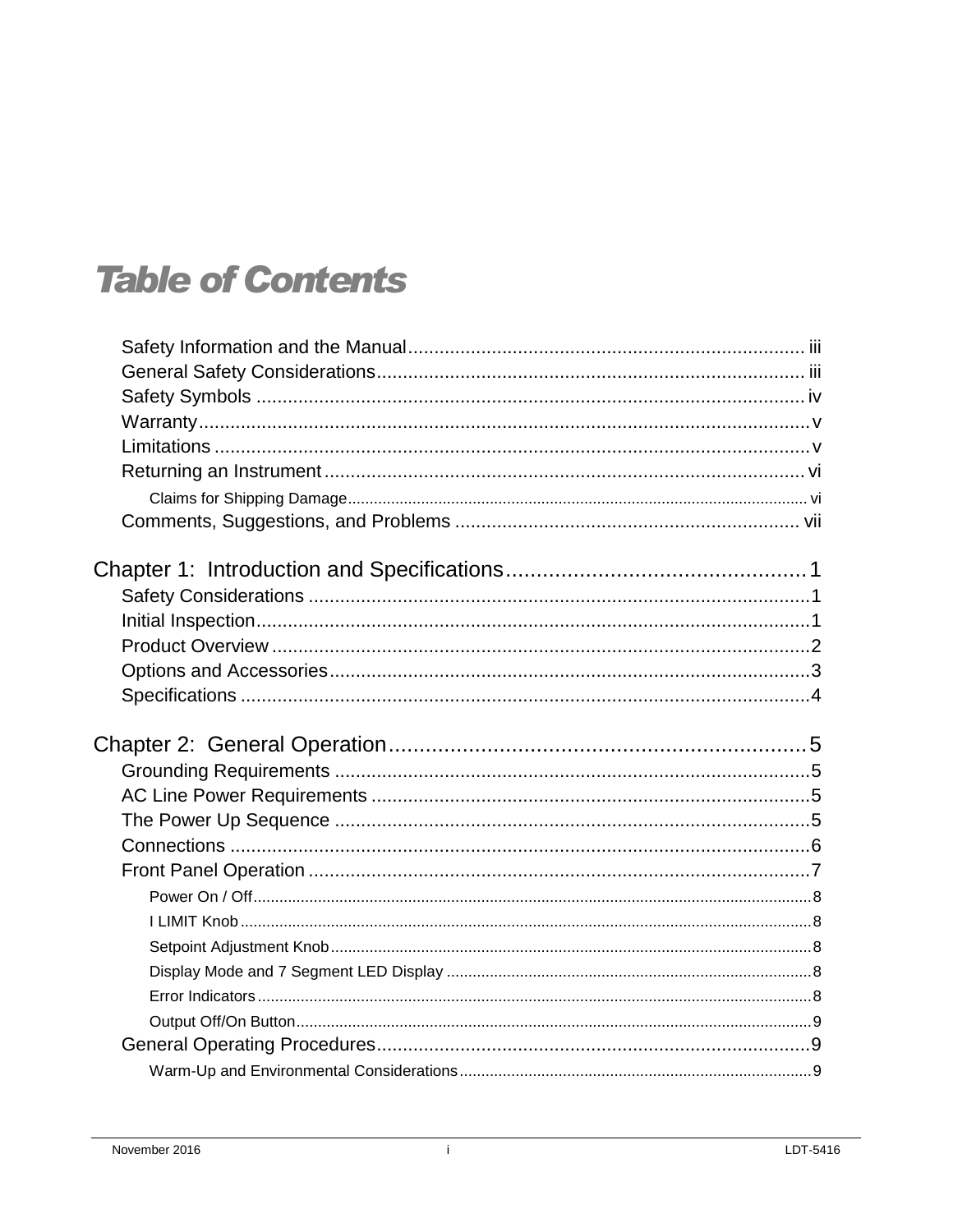# *Safety and Warranty Information*

- $\checkmark$  Details about cautionary symbols
- $\checkmark$  Safety markings used on the instrument
- $\checkmark$  Information about the warranty
- $\checkmark$  Customer service contact information

### <span id="page-2-0"></span>*Safety Information and the Manual*

Throughout this manual, you will see the words "Caution" and "Warning" indicating potentially dangerous or hazardous situations which, if not avoided, could result in death, serious or minor injury, or damage to the product. Specifically:

## **CAUTION**

Caution indicates a potentially hazardous situation which can result in minor or moderate injury or damage to the product or equipment.

## **WARNING**

Warning indicates a potentially dangerous situation which can result in serious injury or death.

### <span id="page-2-1"></span>*General Safety Considerations*

If any of the following conditions exist, or are even suspected, do not use the instrument until safe operation can be verified by trained service personnel:

- Visible damage
- Severe transport stress
- Prolonged storage under adverse conditions
- **Failure to perform intended measurements or functions**

If necessary, return the instrument to ILX Lightwave, or authorized local ILX Lightwave distributor, for service or repair to ensure that safety features are maintained.

All instruments returned to ILX Lightwave are required to have a Return Authorization Number assigned by an official representative of ILX Lightwave Corporation prior to shipping the instrument. See Returning an Instrument for more information.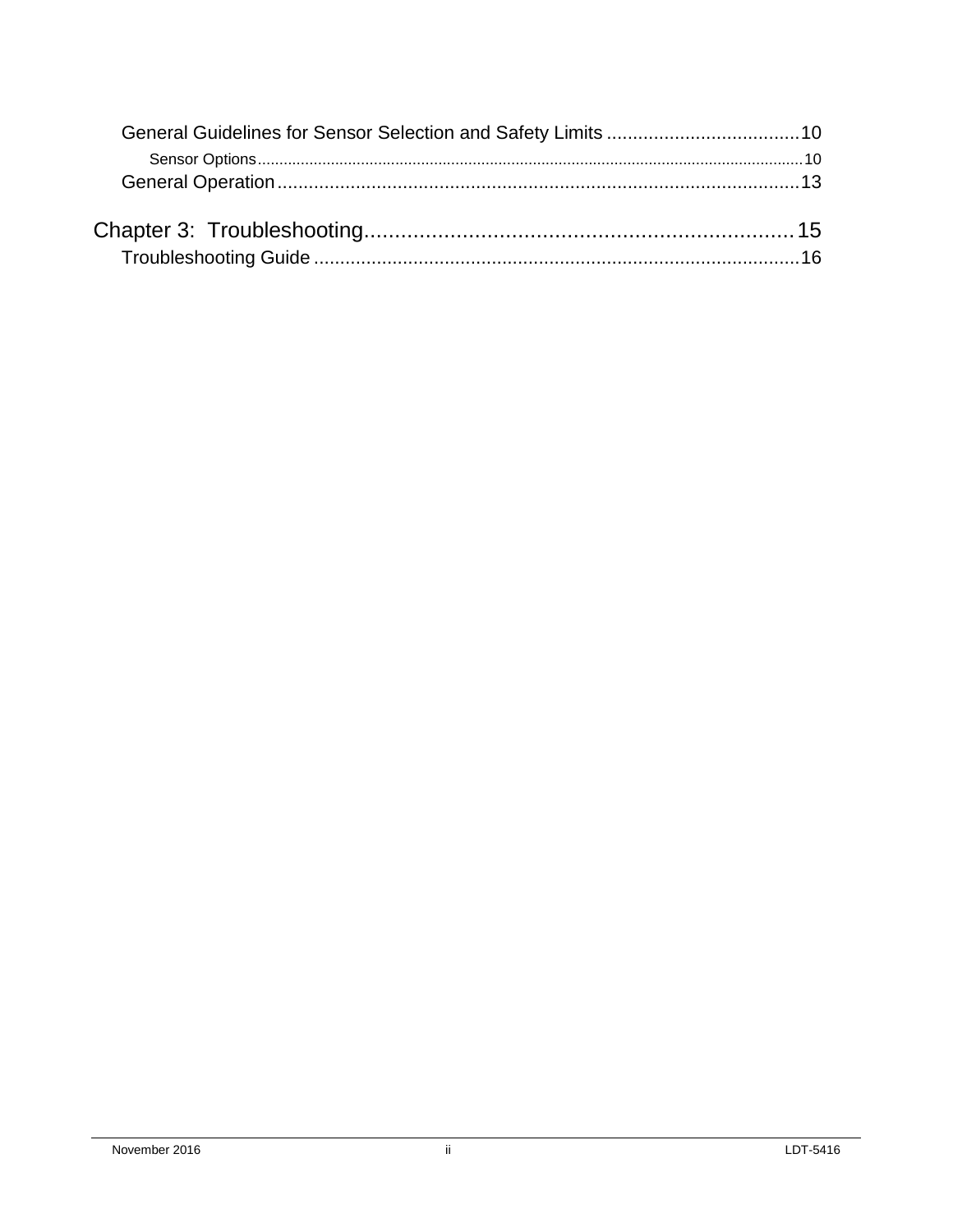## <span id="page-3-0"></span>*Safety Symbols*

This section describes the safety symbols and classifications.

Technical specifications including electrical ratings and weight are included within the manual. See the Table of Contents to locate the specifications and other product information. The following classifications are standard across all ILX Lightwave products:

- **Indoor use only**
- Ordinary Protection: This product is NOT protected against the harmful ingress of moisture.
- **IEC Class I Equipment (grounded type)**
- $\blacksquare$  Mains supply voltage fluctuations are not to exceed  $\pm 10\%$  of the nominal supply voltage.
- **Pollution Degree II**
- **Installation (overvoltage) Category II for transient over-voltages**
- **Maximum Relative Humidity: <85% RH, non-condensing**
- Operating temperature range of 10°C to 40°C
- Storage and transportation temperature of –40°C to 70°C
- Maximum altitude: 3000m (9843ft.)
- **This equipment is suitable for continuous operation.**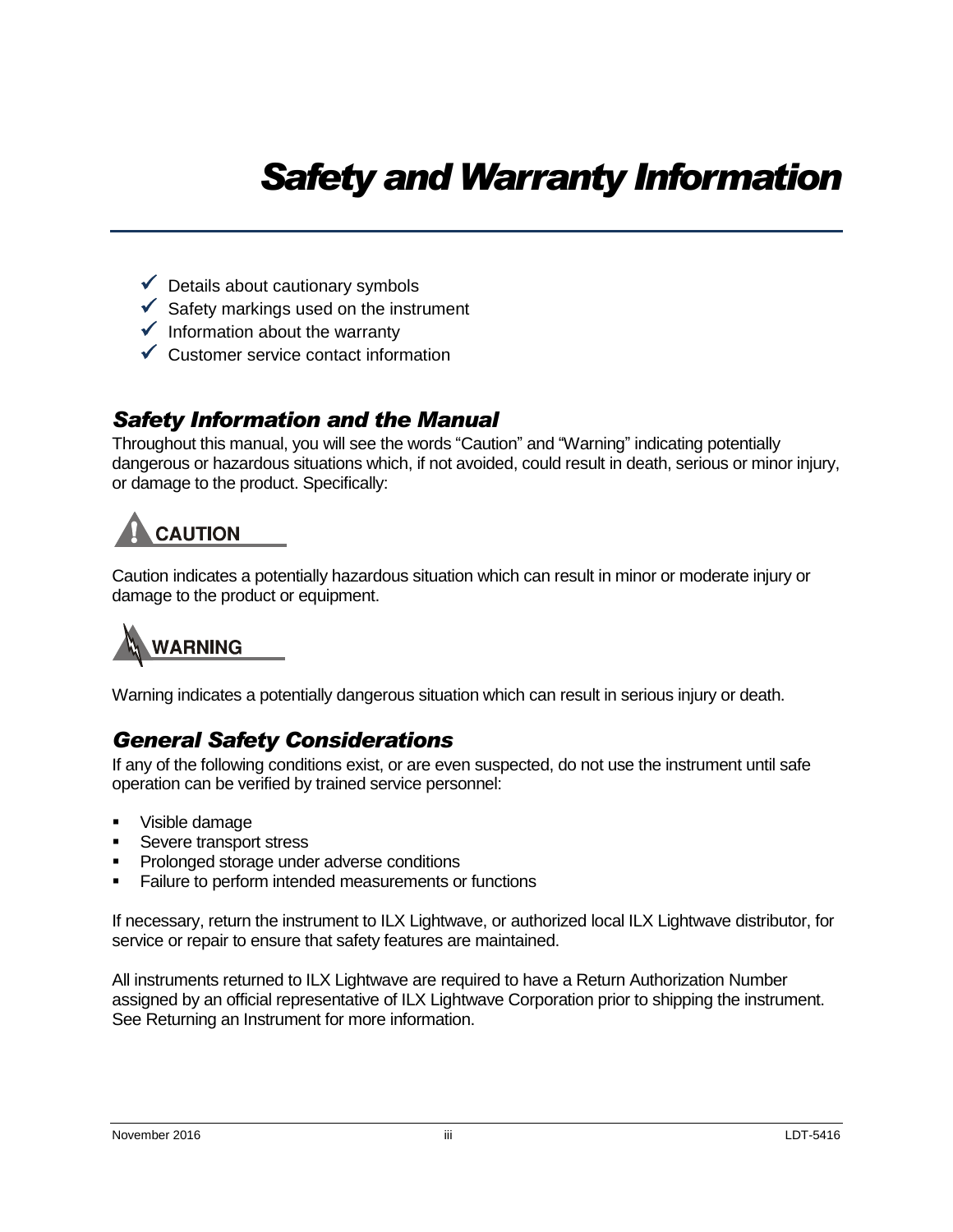### *Safety Marking Symbols*

This section provides a description of the safety marking symbols that appear on the instrument. These symbols provide information about potentially dangerous situations which can result in death, injury, or damage to the instrument and other components.



## <span id="page-4-0"></span>*Warranty*

ILX Lightwave Corporation warrants this instrument to be free from defects in material and workmanship for a period of one year from date of shipment. During the warranty period, ILX will repair or replace the unit, at our option, without charge.

### <span id="page-4-1"></span>*Limitations*

This warranty does not apply to defects caused by abuse, modifications, or to use of the product for which it was not intended.

This warranty is in lieu of all other warranties, expressed or implied, including any implied warranty of merchantability or fitness for any particular purpose. ILX Lightwave Corporation shall not be liable for any incidental, special, or consequential damages.

If a problem occurs, please contact ILX Lightwave Corporation with the instrument's serial number, and thoroughly describe the nature of the problem.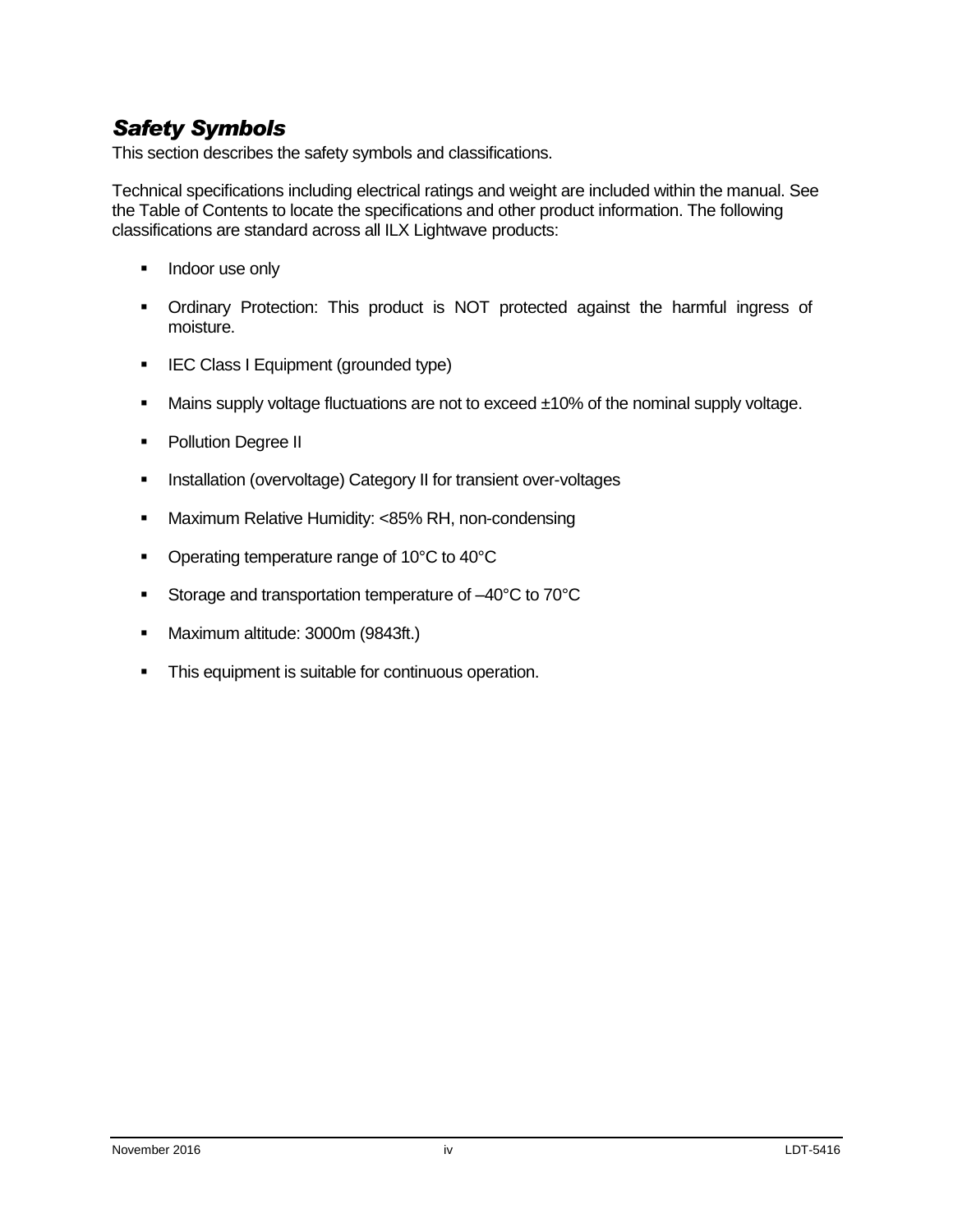### <span id="page-5-0"></span>*Returning an Instrument*

If an instrument is to be shipped to ILX Lightwave for repair or service, be sure to:

- Obtain a Return Merchandise Authorization number (RMA) from ILX Customer Service prior to shipping the instrument.
- Attach a tag to the instrument identifying the owner and indicating the required service or repair. Include the instrument serial number from the rear panel of the instrument.
- Attach the anti-static protective caps that were shipped with the instrument.
- Place the instrument in the original packing container with at least 3 inches (7.5 cm) of compressible packaging material. Shipping damage is not covered by this warranty.
- Secure the packing box with fiber reinforced strapping tape or metal bands.
- Send the instrument, transportation pre-paid, to ILX Lightwave. Clearly write the return authorization number on the outside of the box and on the shipping paperwork. ILX Lightwave recommends you insure the shipment.
- If the original shipping container is not available, place your instrument in a container with at least 3 inches (7.5 cm) of compressible packaging material on all sides.

Repairs are made and the instrument returned transportation pre-paid. Repairs are warranted for the remainder of the original warranty or for 90 days, whichever is greater.

### <span id="page-5-1"></span>*Claims for Shipping Damage*

When you receive the instrument, inspect it immediately for any damage or shortages on the packing list. If the instrument is damaged, file a claim with the carrier. The factory will supply you with a quotation for estimated costs of repair. You must negotiate and settle with the carrier for the amount of damage.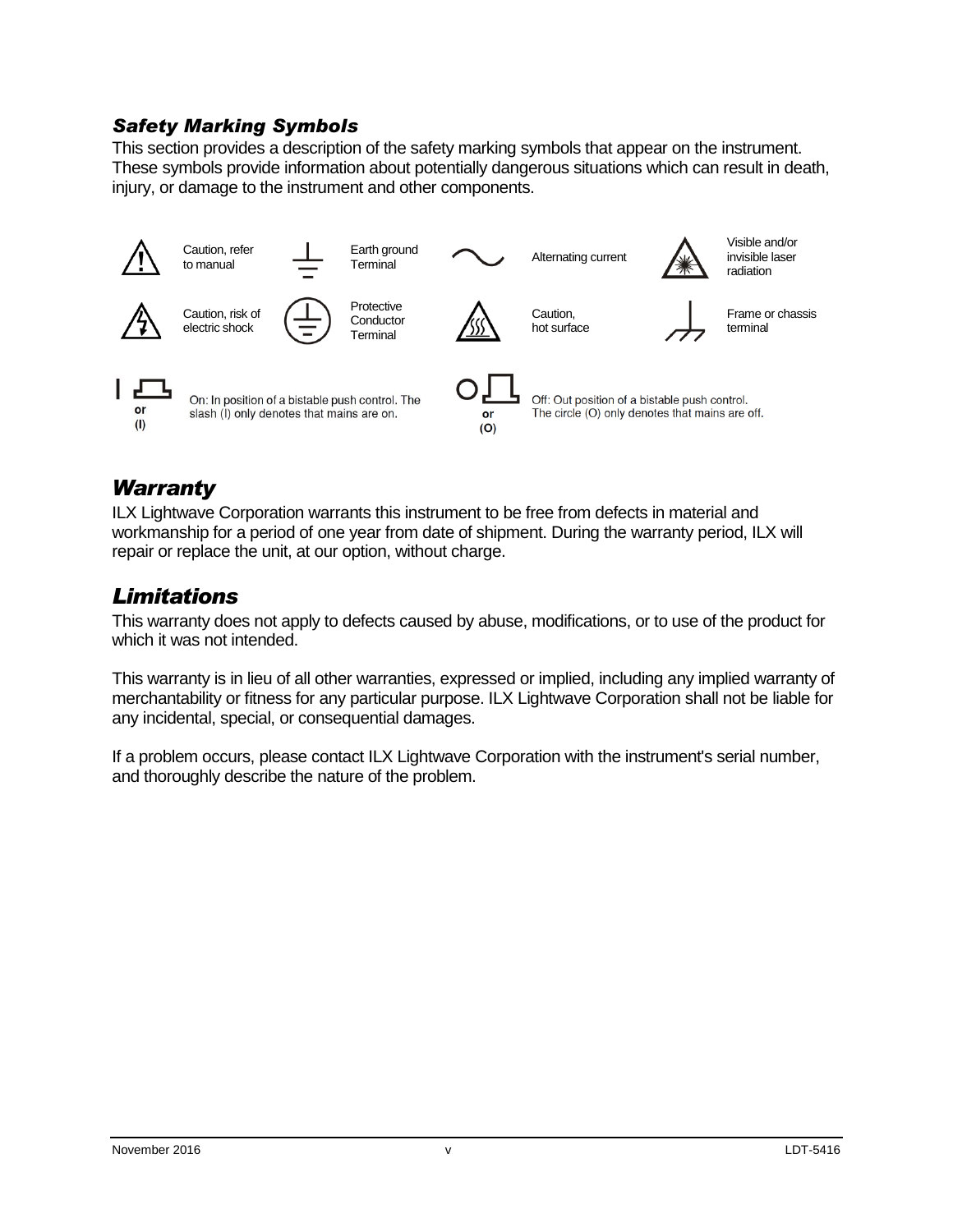## <span id="page-6-0"></span>*Comments, Suggestions, and Problems*

To ensure that you get the most out of your ILX Lightwave product, we ask that you direct any product operation or service related questions or comments to ILX Lightwave Customer Support. You may contact us in whatever way is most convenient:

| Phone:         | (800) 459-9459 or (406) 586-1244                               |
|----------------|----------------------------------------------------------------|
| Fax:           | (406) 586-9405                                                 |
| On the web at: | http://www.newport.com/locations/brandcontacts.aspx?brandid=19 |
| Or mail to:    |                                                                |
|                | <b>ILX Lightwave Corporation</b>                               |
|                | 31950 East Frontage Road                                       |
|                | Bozeman, Montana, U.S.A 59715-8642                             |
|                | www.newport.com/ilxlightwave                                   |

When contacting ILX Lightwave, please have the following information:

- $\sqrt{\phantom{a}}$  Model Number
- $\checkmark$  Serial Number
- $\checkmark$  End-user Name
- $\checkmark$  Company
- $\checkmark$  Phone
- $\checkmark$  Fax
- $\checkmark$  Description of what is connected to the ILX Lightwave instrument
- $\checkmark$  Description of the problem

If ILX Lightwave determines that a return to the factory is necessary, a Return Merchandise Authorization (RMA) number will be issued. Please mark this number on the outside of the shipping box.

You or your shipping service is responsible for any shipping damage when returning the instrument to ILX Lightwave; ILX recommends you insure the shipment. If the original shipping container is not available, place your instrument in a container with at least 3 inches (7.5 cm) of compressible packaging material on all sides.

We look forward to serving you even better in the future!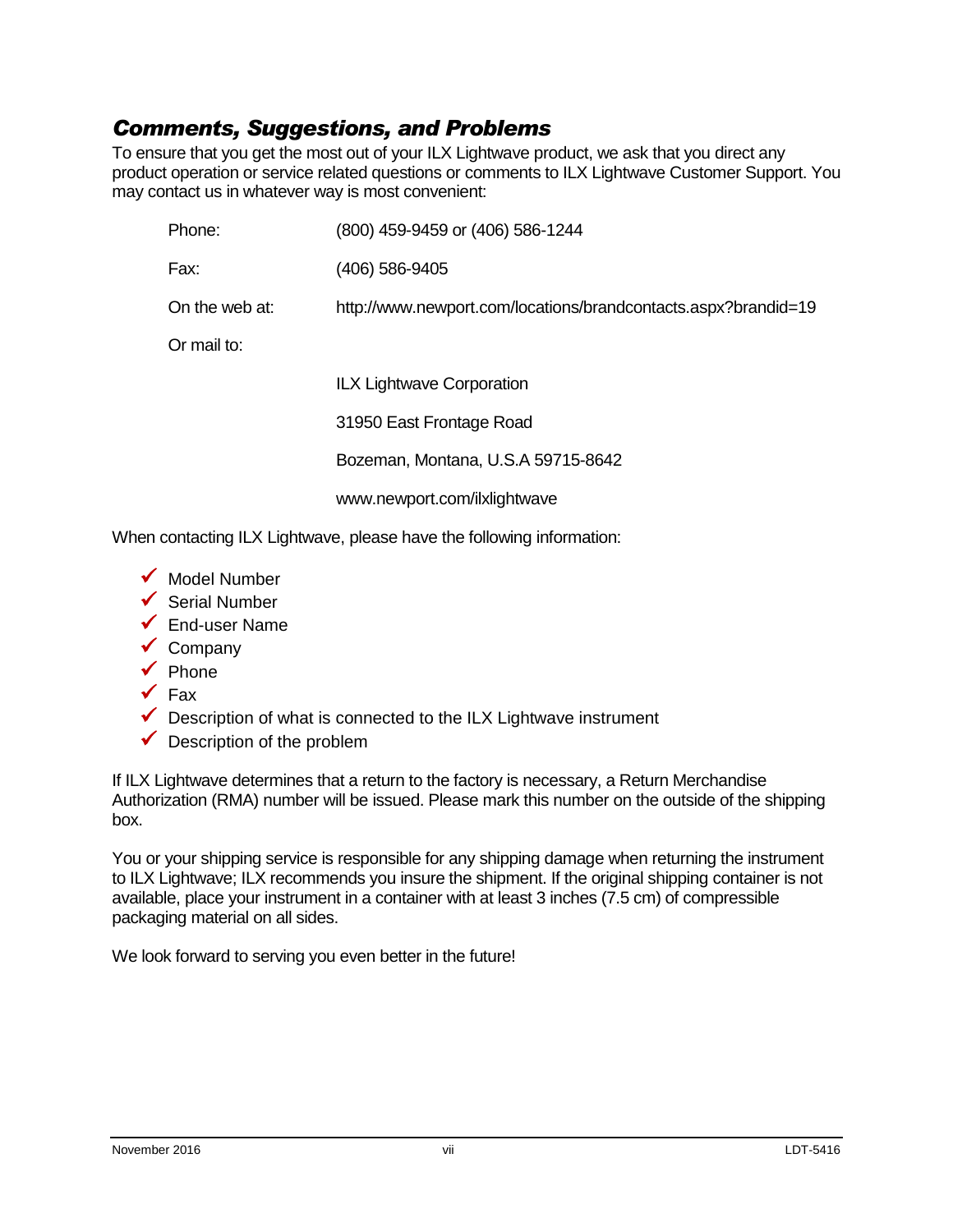# *Chapter 1: Introduction and Specifications*

<span id="page-8-0"></span>This chapter is an introduction to the LDT-5416 Thermoelectric Temperature Controller.

- $\checkmark$  Safety Considerations and unpacking information
- $\checkmark$  Product Overview
- $\checkmark$  Options and accessories
- $\checkmark$  Specifications

### <span id="page-8-1"></span>*Safety Considerations*



**If any of the following symptoms exist, or are even suspected, remove the LDT-5416 from service. Do not use the LDT-5416 until trained service personnel can verify safe operation.**

- **Visible damage**
- **Severe transport stress**
- **Prolonged storage under adverse conditions**
- **Failure to perform intended measurements or functions**

**If necessary, return the LDT-5416 to ILX Lightwave for service and repair to ensure that safety features are maintained.**

### <span id="page-8-2"></span>*Initial Inspection*

When you receive your LDT-5416 Thermoelectric Temperature Controller, verity that the following items were shipped with the instrument

- **Certificate of Calibration**
- **USB Flash Drive with LDT-5416 Thermoelectric Controller Manual**
- **Power Cord**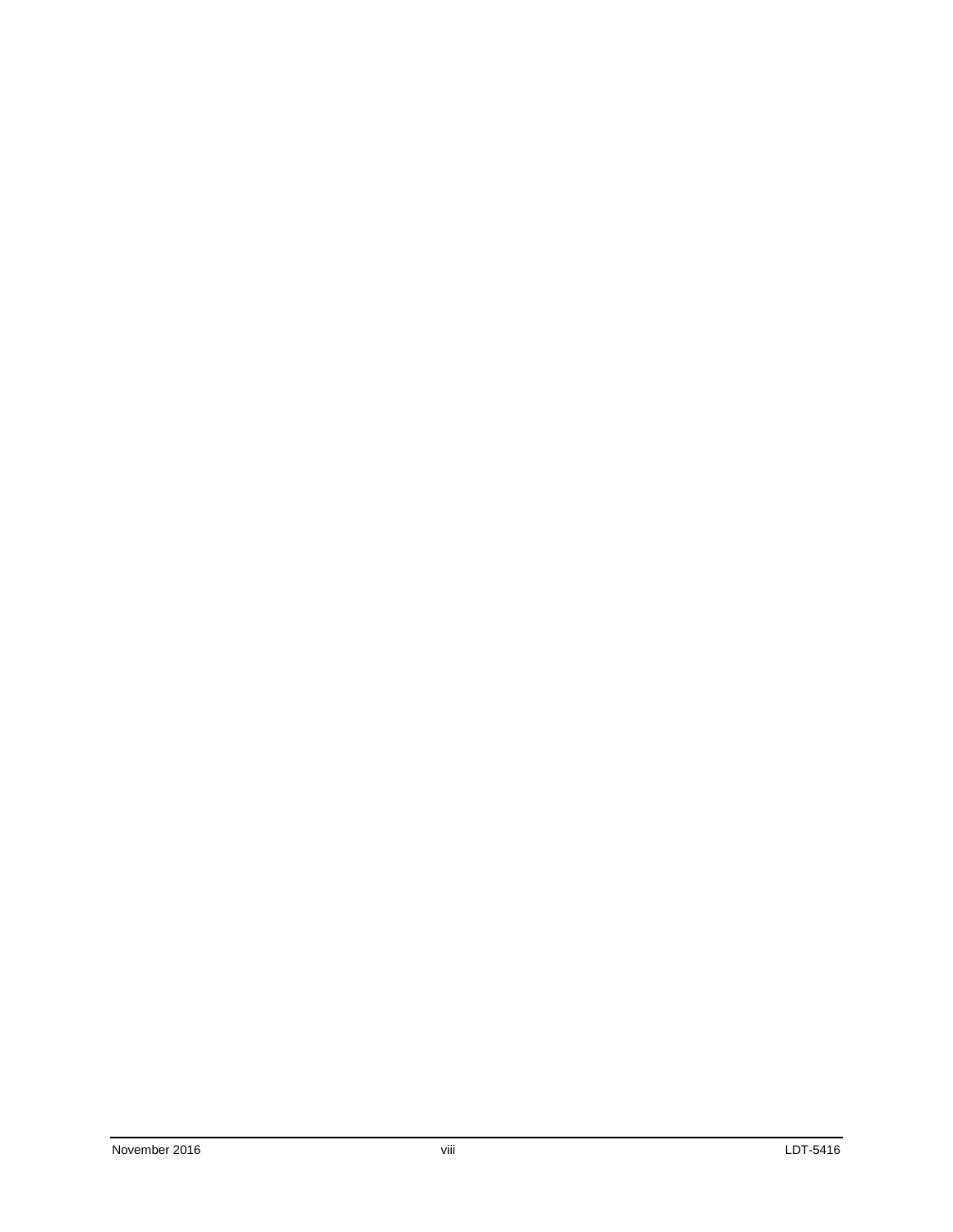## <span id="page-9-0"></span>*Product Overview*

The LDT-5416 is a thermoelectric temperature controller capable of stably and accurately controlling thermoelectric mounts in low power applications. This is achieved by modulating the current through a thermoelectric load and continuously monitoring the feedback signal generated from a thermistor temperature sensor. The linear output stage of the LDT-5416 offers the low current noise necessary to achieve the temperature stability required in most low-noise and frequency-stabilized laser applications.

Features of the LDT-5416 include:

- Long term temperature stability of ±0.01°C
- Linearized thermistor mode allows temperature readout accurate to  $\pm 1^{\circ}$ C with specific 10k $\Omega$ thermistors
- Bipolar 16 Watt linear output stage
- PI control loop with adjustable P gain and fixed I gain
- 12 Volt bias for operating external fans
- Buffered analog measurement output

If cleaning is required, use a clean dry cloth. Do not use solvents.



**Figure 1.1 – LDT-5416 Front Panel**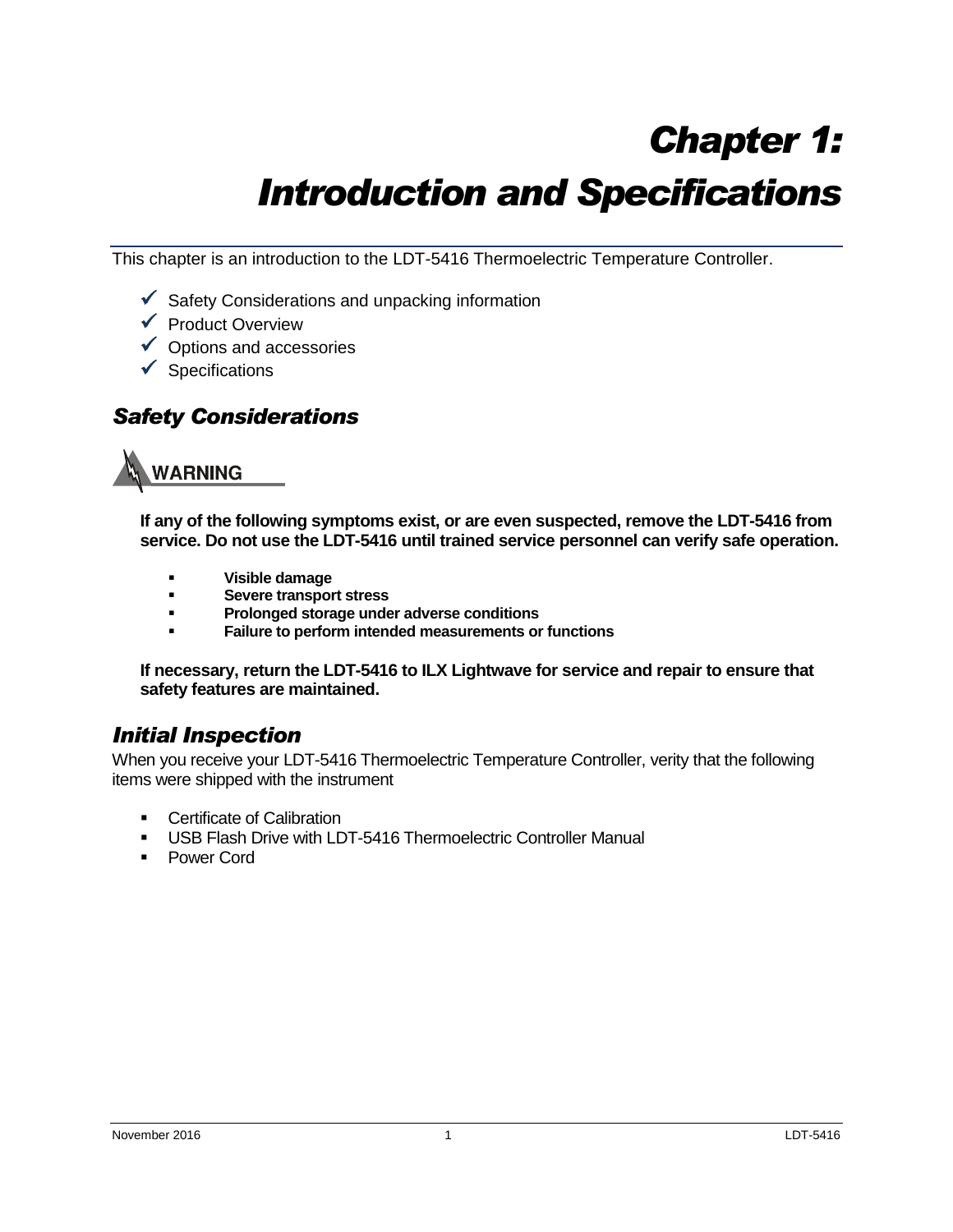

**Figure 1.2 – LDT-5416 Rear Panel**

### <span id="page-10-0"></span>*Options and Accessories*

Options and accessories available for LDT-5416 Thermoelectric Temperature Controller include the following:

| <b>DESCRIPTION</b>                                                     | <b>MODEL / PART NUMBER</b> |
|------------------------------------------------------------------------|----------------------------|
| Temperature Controller Interconnect Cable (terminated with 9-pin DSUB) | <b>CC-505S</b>             |
| Temperature Controller Interconnect Cable (unterminated)               | CC-501S                    |
| Calibrated $10k\Omega$ Thermistor                                      | <b>TS-510</b>              |
| Uncalibrated $10k\Omega$ Thermistor                                    | <b>TS-520</b>              |
| Uncalibrated $100k\Omega$ Thermistor                                   | <b>TS-525</b>              |
| <b>Unipolar Control Adapter</b>                                        | <b>UCA-350</b>             |
| <b>TO-Can Laser Diode Mount</b>                                        | LDM-4405                   |
| <b>Telecommunications Series Laser Diode Mount</b>                     | LDM-4980                   |
| Production Line TO-Can Laser Diode Mount                               | LDM-4990                   |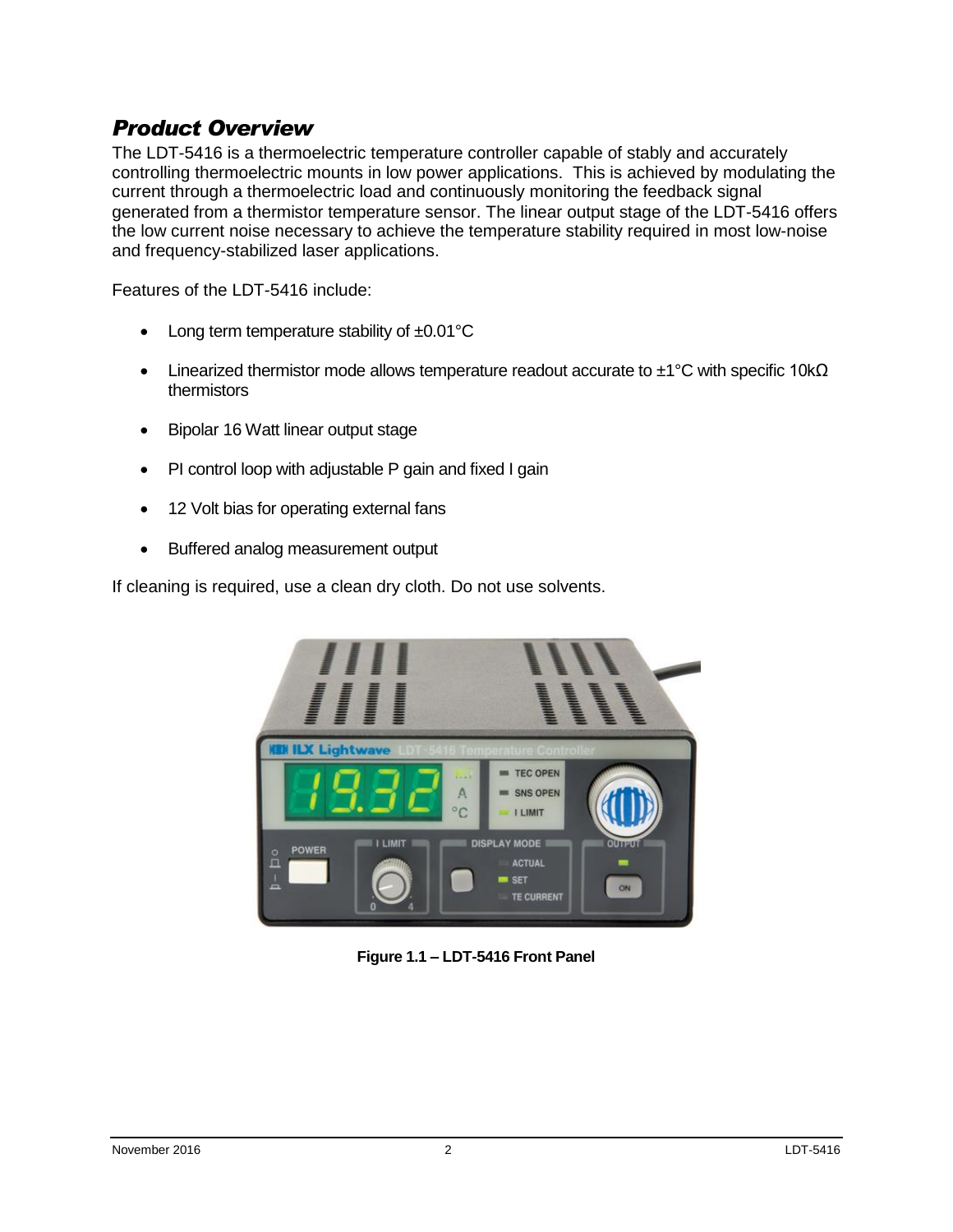### <span id="page-11-0"></span>*Specifications*

### **CONTROL SYSTEM**

Temperature Stability (1 hour):<sup>2</sup> Temperature Stability (24 hours):<sup>2</sup> Temperature Coefficient: Control Algorithm:

### **SENSOR**

Thermistor: **Thermistor Sensor Resistance** 10 μA Bias Setting Range: Resolution (Display): Accuracy: 100 µA Bias Setting Range: Resolution (Display): Accuracy: Linearized Thermistor Mode<sup>3</sup> Range: Resolution (Display): Accuracy:

### **TEC OUTPUT**

Output Type: Isolation: **Output Current** 

Range: Resolution (Display): Accuracy: Current Limit Range: Compliance Voltage: Maximum Output Power: Current Noise and Ripple:  $\pm 0.005$  °C  $±0.01 °C$ <0.0025 °C/ °C Proportional (Adjustable) Integral (Fixed)

NTC (2-wire)

0 to 199.9 kΩ  $0.1 k\Omega$  $\pm$ 1% of reading  $\pm$ 100 $\Omega$ 

0 to 19.99 k $\Omega$  $0.01 k\Omega$  $\pm$ 1% of reading  $\pm$ 10 $\Omega$ 

10 - 40°C (0 to 15 kΩ)  $0.1 °C$  $±1 °C$ 

Bidirectional, linear Floating with respect to earth ground Specified only for ambient temperatures  $23 \pm 5$ °C  $-4.00 A to + 4.00 A$  $0.01A$  $+0.05A$  $-4.00$  A to  $+4.00$  A  $+4V$  $>16W$  $<$ 2 mA rms

### **AUXILIARY OUTPUT**

Analog Output Gain Factor:

Analog Output Impedance: External Fan Output Voltage: External Fan Output Max. Current:

#### **GENERAL** I/O Connectors:

Power Requirements: Size (HxWxD):

Weight: Operating Temperature: Storage Temperature: Humidity: Compliance:

100 mV/kΩ (100 μA)<br>10 mV/kΩ (10 μA)  $2 k\Omega$  (nominal) 12 V (nominal) 100 mA (maximum)

Female 15-pin, D-sub (TEC I/O) Isolated Female BNC (Analog Output) 100-240 VAC; 50/60 Hz; 75W 14.2 cm x 25.9 cm x 6.6 cm; 5.6" x 10.2" x 2.6" 1.35 kg (3.0 lbs.) 10 °C to 40 °C -40 °C to 70 °C <85%, relative, non-condensing CE

#### **NOTES**

- 
- All specifications unless otherwise noted are for a one hour warm up.<br>Temperature stability tested at 25 °C with a 10 ks2 thermistor on the 100  $\mu$ A setting.<br>To achieve rated accuracy, a 10 ks2 thermistor with at least 1  $\overline{2}$ of 3900 to 4050 must be used. Use of a thermistor outside of this accuracy and Beta will result
	- in inaccurate temperature readings and set points.

### **ORDERING INFORMATION**

| LDT-5416       | Thermoelectric Temperature Controller                     |
|----------------|-----------------------------------------------------------|
| LDM-4405       | Low Cost TO-Can Laser Diode Mount                         |
| CC-501S        | TE Controller / Unterminated Interconnect Cable           |
| CC-505S        | TE Controller / Laser Diode Mount Interconnect Cable      |
| <b>TS-510</b>  | 10k $\Omega$ Calibrated Thermistor (+0.2 $\textdegree$ C) |
| <b>UCA-350</b> | Unipolar Heater Control Adapter                           |
|                |                                                           |

In keeping with our commitment to continuing improvement, ILX Lightwave reserves the right to change specifications without notice or liability for such changes.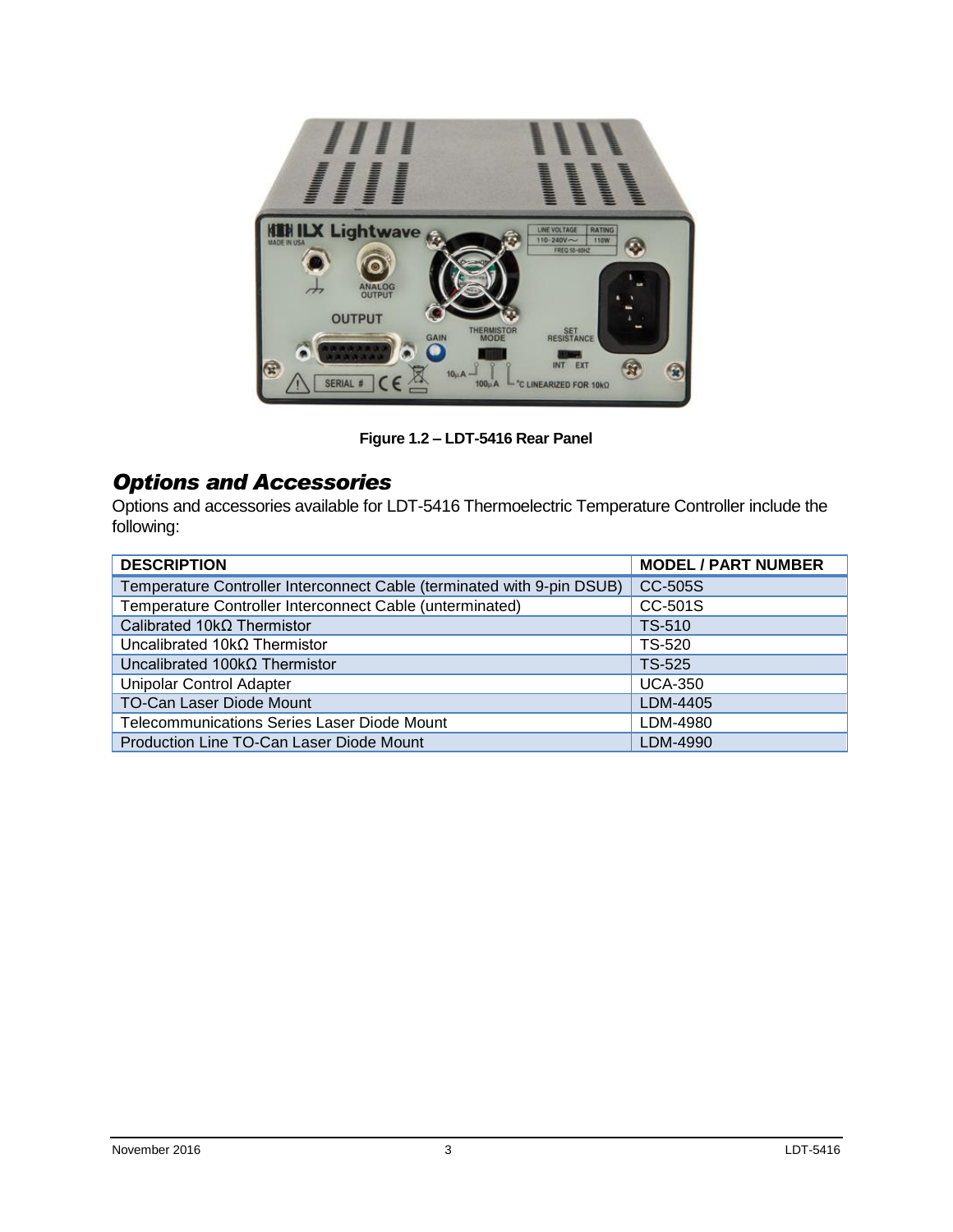# *Chapter 2: General Operation*

<span id="page-12-0"></span>This chapter is an overview of the operation of the LDT-5416 Thermoelectric Temperature Controller.

- $\checkmark$  Power requirements
- $\checkmark$  Front panel operation
- $\checkmark$  General operating procedures

## <span id="page-12-1"></span>*Grounding Requirements*

The LDT-5416 Thermoelectric Temperature Controller comes with a three conductor AC power cable. The power cable must be plugged into an approved three-contact electrical outlet or used with a three-contact to two-contact adaptor with the grounding wire connected to an electrical ground (safety ground). ILX Lightwave recommends connecting the instrument only to properly earth grounded receptacles. The power cord connector and provided power cable meet IEC safety standards.

### <span id="page-12-2"></span>*AC Line Power Requirements*

The LDT-5416 Thermoelectric Temperature Controller features a universal input and can be operated at nominal line voltages of 90 - 240 VAC and 50 – 60 Hz.

## <span id="page-12-3"></span>*The Power Up Sequence* **WARNING**

**Prior to power up ensure that the ventilation holes located on the left and right hand side as well as on the top of the instrument have no obstructions that would impede airflow.** 

With the LDT-5416 connected to an AC power source, pressing **POWER** supplies AC line power to the instrument. After power-up, make sure that the OUTPUT is off (LED unlit) until you have configured the instrument for your application.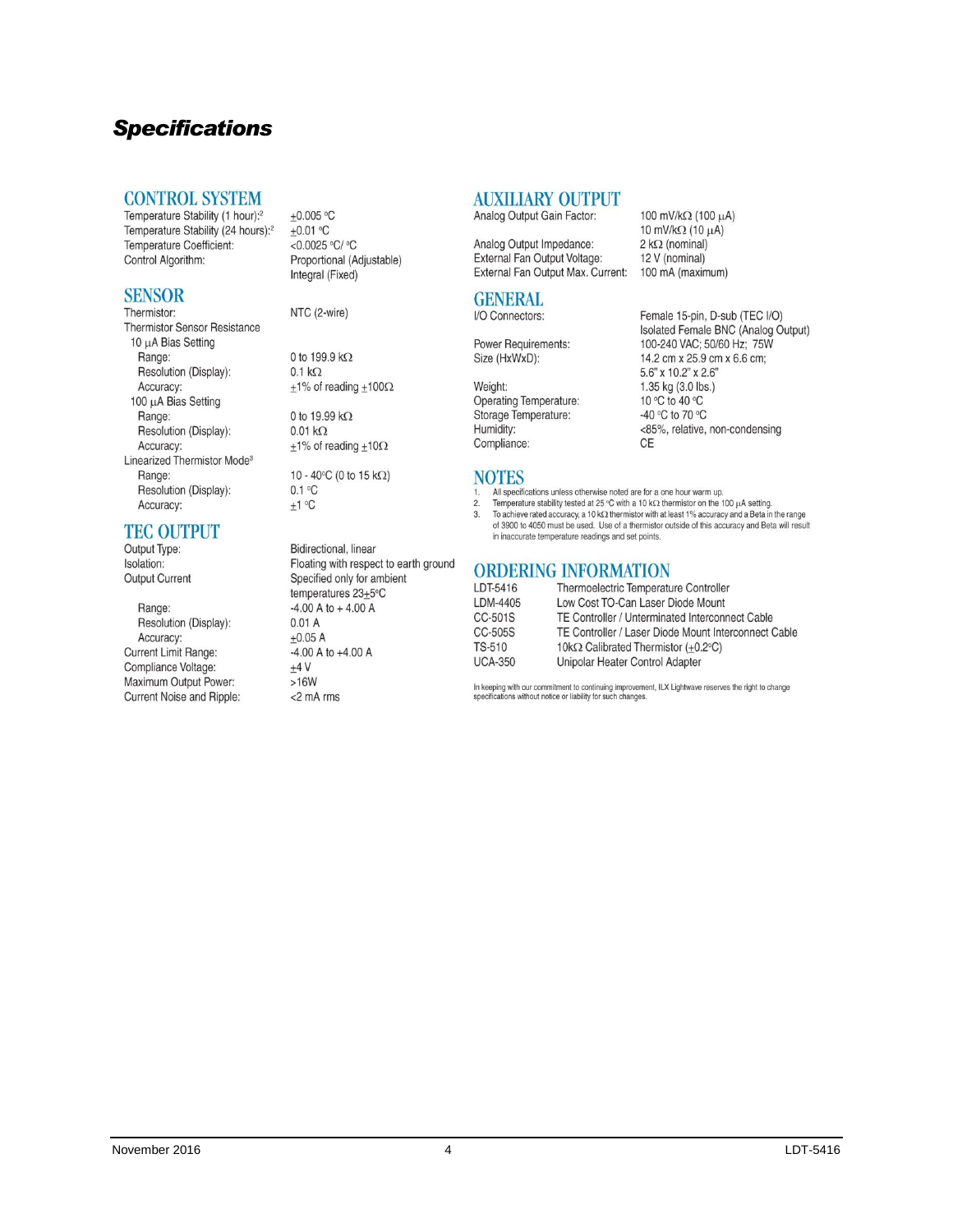## <span id="page-13-0"></span>*Connections*

**Temperature Control Output**: A 15-pin D-Subminiature connector is located on the back panel of the instrument. The connections for each terminal are shown below.

| <b>LDT-5416</b>   |                          |  |  |
|-------------------|--------------------------|--|--|
| 00000000          |                          |  |  |
| <b>PIN NUMBER</b> | <b>CONNECTION</b>        |  |  |
| 1                 | TE Module (+)            |  |  |
| 2                 | TE Module (+)            |  |  |
| 3                 | TE Module (-)            |  |  |
| 4                 | TE Module (-)            |  |  |
| 5                 | <b>External Setpoint</b> |  |  |
| 6                 | <b>External Setpoint</b> |  |  |
| 7                 | Sensor (+)               |  |  |
| 8                 | Sensor (-)               |  |  |
| 9                 | Analog Ground            |  |  |
| 10                | Control Signal           |  |  |
| 11                | N/C                      |  |  |
| 12                | N/C                      |  |  |
| 13                | N/C                      |  |  |
| 14                | Fan $(+)$                |  |  |
| 15                | Fan $(-)$                |  |  |

**Figure 2.1 – LDT-5416 Output Connector**

The TE drive current is available at the 15 pin connector. Pins 1 and 2 and pins 3 and 4 are tied together internally. Pins 1 and 2 source current while cooling and sink current while heating. Pins 3 and 4 sink current while cooling and source current while heating.

An NTC Thermistor is required to sense the load temperature and must be connected between pins 7 and 8.

An external resistor may be used to control the setpoint resistance; this resistor must be connected between pins 5 and 6. The SET RESISTANCE switch must be in the EXT position in order to use the external resistor as a setpoint, otherwise the setpoint is controlled by the front panel knob.

The control signal on pin 10 provides approximately a 1 V/A signal referenced to pin 9, which can be used to drive an isolated booster current supply.

Pins 14 and 15 provide the ability to power an external fan through the 15-pin DSUB connector. This circuit can provide up to 100 mA at a nominal voltage of 12 VDC. This feature includes current limiting and over-power shutdown for the external fan.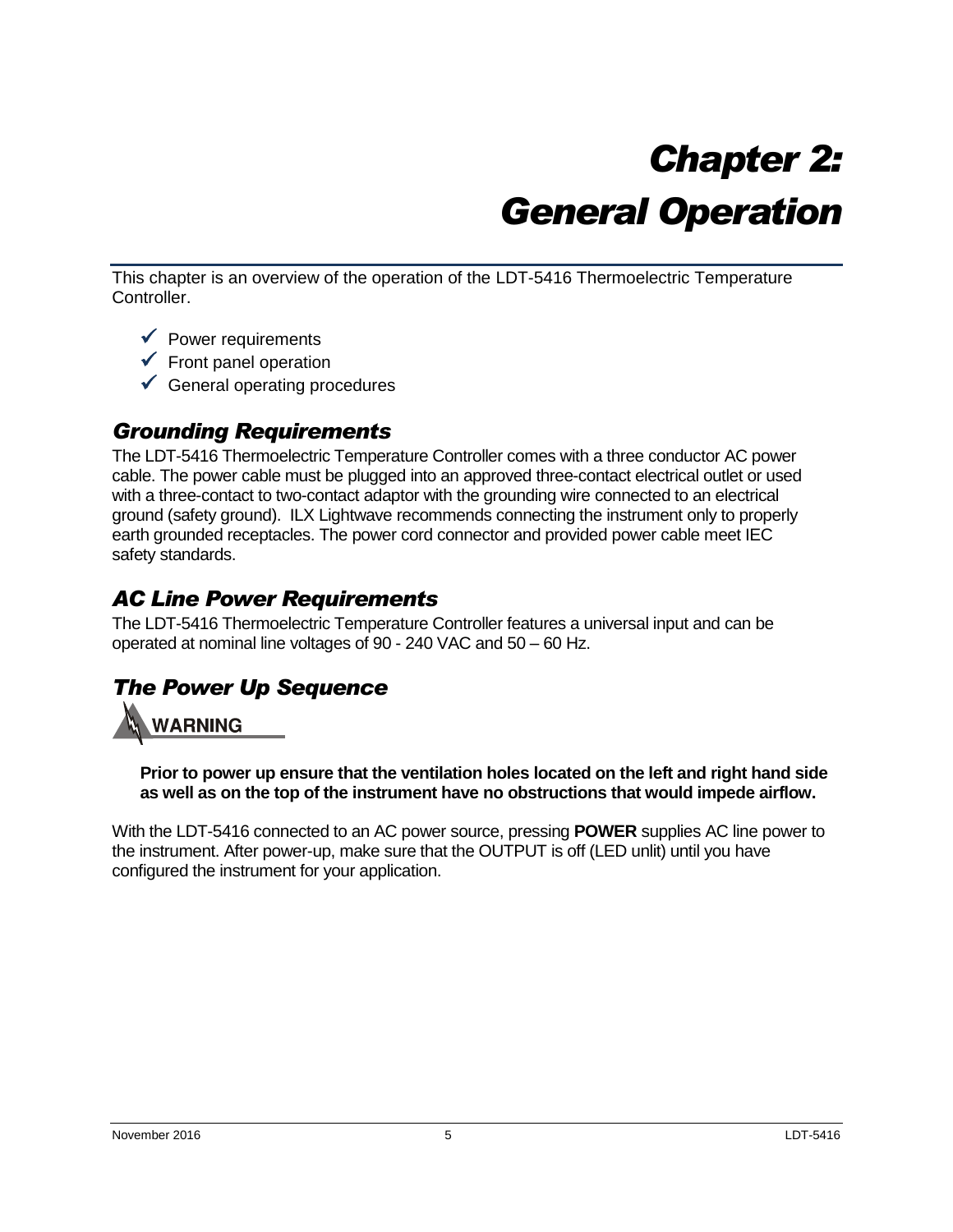**THERMISTOR MODE**: A three position switch that adjusts the measurement and setpoint current sources and also determines how the values are displayed on the front panel. The **10µA** and **100µA** positions configure the sensor current source for the selected value and displays the value of the setpoint and current sensor in  $k\Omega$  on the front panel. **°C LINEARIZED FOR 10k** $\Omega$  is a special mode that places a 10k $\Omega$  resistor in parallel with the thermistor to linearize the temperature response. The front panel is calibrated to display the approximate temperature with an accuracy of  $\pm 1.0^{\circ}$ C in  $^{\circ}$ C when a 10k $\Omega$  thermistor is used as the sensor.

**SET RESISTANCE:** Allows the operator to bypass the set resistance function of the front panel and externally control to a known resistance. When the switch is in the **EXT** position, the temperature is controlled to match the resistance measured between pins 5 and 6 of the **OUTPUT** connector. This mode is useful if always operating at the same setpoint. When the switch is in the **INT** position, the external resistor is ignored and the front panel knob controls the temperature setpoint.

**ANALOG OUTPUT**: An isolated BNC connector is located on the rear panel of the LDT-5416 that provides the capability to externally measure the voltage at the thermistor terminals. The nominal gain of this connection is 10mV/kΩ in the 10µA range and 100mV/kΩ in the 100µA range. In the linearized operating mode the voltage present at this connection mirrors the voltage present across the parallel combination of the thermistor and a 10kΩ resistor with 100µA passing through the combination. The nominal output impedance of this connection is 2kΩ.

**GAIN:** A single turn potentiometer which adjusts the control loop gain. This adjustment affects the slew rate and settling time of the LDT-5416 when reaching the desired setpoint. If the GAIN is set too low (counter-clockwise), the LDT-5416 will take longer to reach the desired setpoint. If the GAIN is set too high (clockwise), the LDT-5416 may oscillate around the desired setpoint. To adjust, use a small blade screwdriver.

## <span id="page-14-0"></span>*Front Panel Operation*

This section describes the fundamentals of operation for the LDT-5416 Thermoelectric Temperature Controller. The order of descriptions will follow the normal progression of how the user would typically configure the instrument for use for the first time.



**Figure 2.2 – LDT-5416 Front Panel**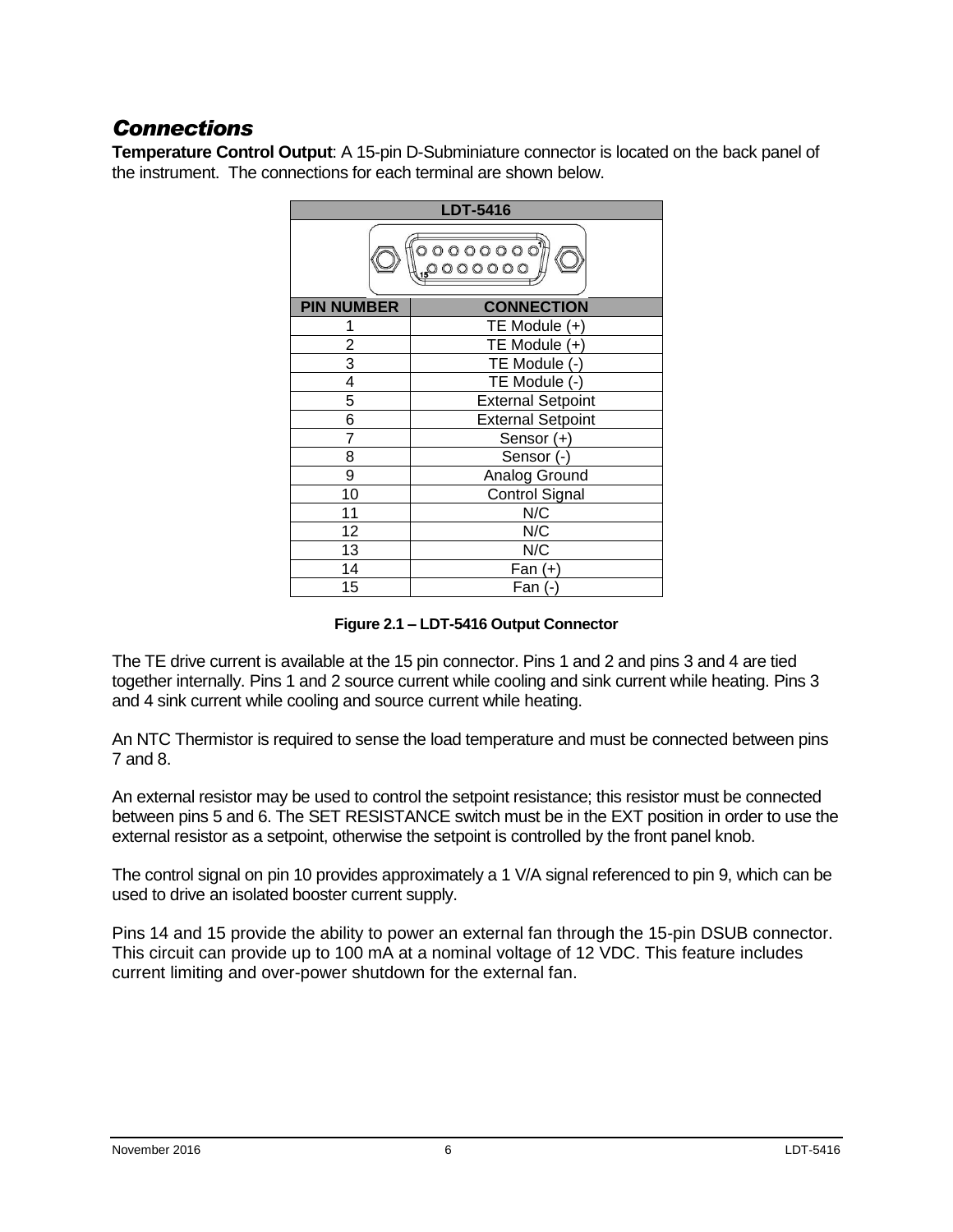### <span id="page-15-0"></span>*Power On / Off*

The POWER button applies power to the LDT-5416.

### <span id="page-15-1"></span>*I LIMIT Knob*

The current LIMIT knob allows the user to set the upper limit of the output current. The user may adjust the output current from zero (LIMIT knob turned fully counterclockwise CCW) to 4 Amps (LIMIT knob turned fully clockwise CW). This LIMIT knob is recessed to prevent accidental readjustment of the output current during operation.

The LIMIT current value is not displayed, but the adjustment is linear. For example, setting the LIMIT knob half-way between 0 and 4 Amps will limit the output current to 2 Amp. A more accurate LIMIT setting may be attained by the following procedure:

- **1.** Connect a short between pins 2 and 3 of DB15 (TE OUTPUT connector on rear panel). Connect a 10 k $\Omega$  resistor across pins 7 and 8 of DB15.
- **2.** Set the DISPLAY MODE switch to TE CURRENT. Turn the OUTPUT switch on (LED lit). Adjust the Main Control Knob fully counter-clockwise (CCW).
- **3.** Adjust the LIMIT control until the display reads the desired limit current. Turn the OUTPUT off, remove the short from pins 2 and 3 of DB15, and remove the resistor form pins 7 and 8 of DB15.

During operation the TE output current is unconditionally limited to the value set by the LIMIT adjustment

### <span id="page-15-2"></span>*Setpoint Adjustment Knob*



The Setpoint Adjustment knob is located on the upper right side of the LDT-5416 front panel and is used to set the desired operating, or setpoint, resistance or temperature of the load. The setpoint may be set from 0.00kΩ to ~20.00kΩ when the instrument is in the 100µA Sensor Mode (see SENSOR MODE below), from 0.0k $\Omega$  to ~200.0k $\Omega$  in the 10µA mode and from approximately 10°C to 70°C but will only meet the stated accuracy specification when set between 10°C and 40°C (see LINEARIZED MODE below). Rotating the knob clockwise in 10/100 µA mode will increase the

resistance (decrease the temperature) and rotating counterclockwise will decrease the resistance (increase the temperature). When the LDT-5416 is in  $\degree$ **C LINEARIZED FOR 10k** $\Omega$  rotating the knob counter clockwise will increase the temperature and when rotating clockwise will decrease the temperature. This is due to the negative temperature coefficient of NTC thermistors where in a decrease in resistance represents an increase in temperature.

### <span id="page-15-3"></span>*Display Mode and 7 Segment LED Display*

Using the button located under the DISPLAY MODE will allow the user to cycle between ACTUAL, SET, and TEC CURRENT on the 7 segment LED display. When the ACTUAL LED is illuminated the display reads the measured resistance or temperature (linearized mode) of the thermistor, the SET LED when illuminated displays the set point resistance or temperature (linearized mode), and when the TE CURRENT LED is illuminated the LDT-5416 will display the actual measured TEC current.

### <span id="page-15-4"></span>*Error Indicators*

**TEC OPEN**: Indicates that the thermoelectric voltage exceeds the rated compliance voltage of the instrument. The output must be on to enable monitoring of **TEC OPEN**. Detection of a **TEC OPEN**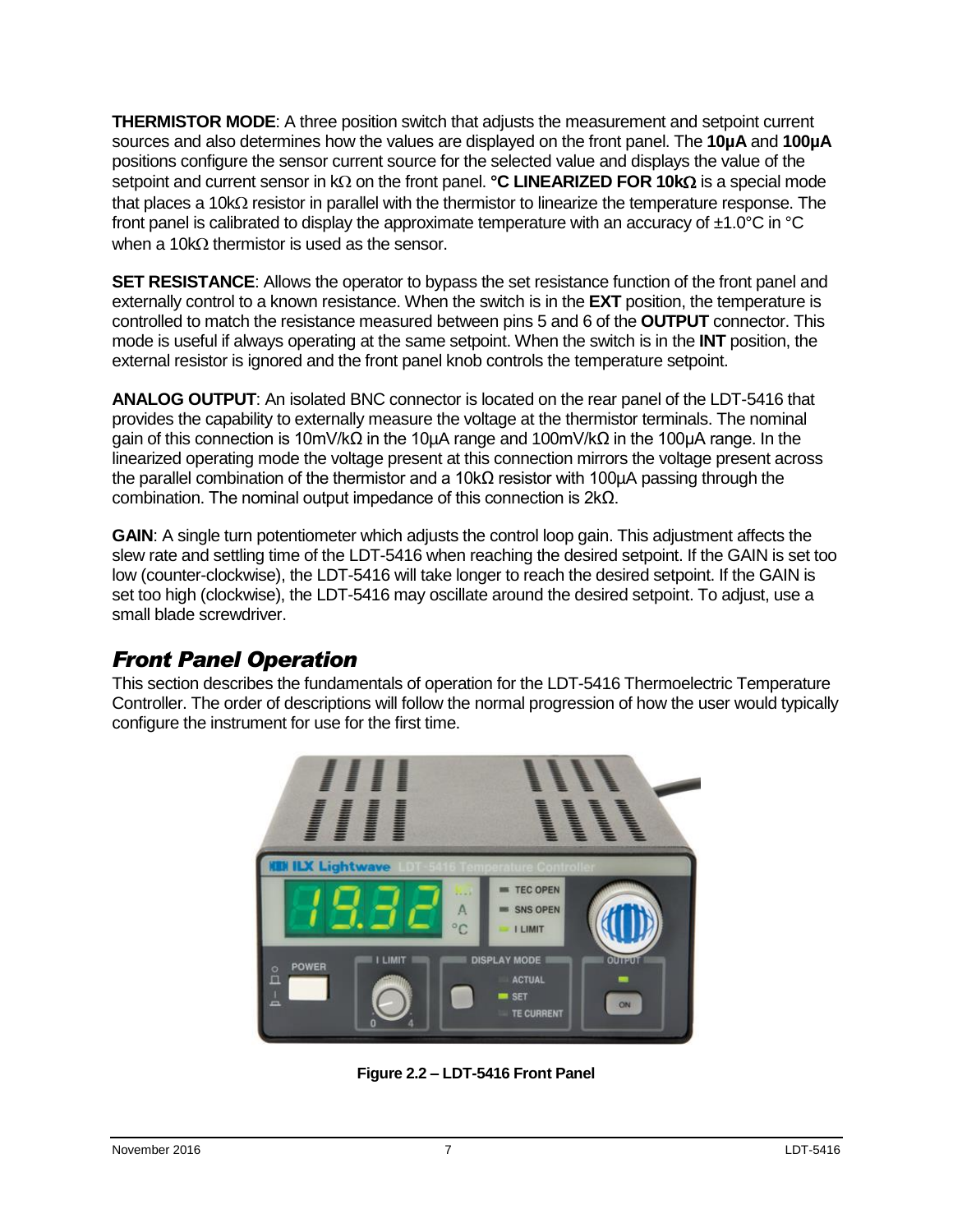state will shut the output off. The indicator will remain illuminated after a fault until the output is enabled or power is cycled. In some instances a **TEC OPEN** fault may occur with high impedance TECs and can be remedied by reducing the current limit as to reduce the maximum voltage generated.

**SNS OPEN:** Indicates that the thermistor or external setpoint resistance has exceeded 50 $k\Omega$  when the 100uA or Linearized sensor mode is selected or  $500k\Omega$  when the 10uA sensor mode is selected. Like the **TEC OPEN** indicator, the output must be on to enable monitoring of **SNS OPEN.** Detection of a **SNS OPEN** state will shut the output off. The indicator will remain illuminated after a fault until the output is enabled or power is cycled.

**I LIMIT**: This LED indicates that the current output is limited by the limit setpoint. It is normal for this indicator to illuminate shortly after turning the output on, or when load power changes significantly. If the indicator stays on or occasionally turns on after a long period, the controller cannot maintain temperature due to the power requirements of the load. Changing the temperature setpoint, or increasing the current limit, if it is safe to do so, can fix this problem.

### <span id="page-16-0"></span>*Output Off/On Button*

The OUTPUT off/on switch is located in the lower right-hand corner of the front panel. This switch has a toggling action which turns the output current of the LDT-5416 off and on. When the output is active, the LED indicator just above the switch will be lit.

When the OUTPUT is off, it is safe to connect or disconnect sensitive devices from the LDT-5416, even though the power supply is on. The OUTPUT is off when AC power is first applied to the instrument. Additionally, there are three other conditions which will automatically cause the output to reset to the off state:

- **•** Power Drop-outs AC line power drop-outs lasting more than about 1 second will trigger an internal power monitor and cause the output to switch unconditionally to the off state. This sequence is also initiated when the LDT-5416 is switched off or unplugged.
- **•** SNS OPEN If the externally connected thermistor or set point resistor is open, the output is switched to the off state and the SNS OPEN LED indicator is illuminated.
- **•** TEC OPEN If the connected TEC exceeds the rated voltage of the LDT-5416 the output will be disabled and the TEC OPEN LED will be illuminated.

If any of these conditions occur and the OUTPUT turns off; output may be turned on again by first correcting the cause of the fault and then pressing the OUTPUT off/on switch.

## <span id="page-16-1"></span>*General Operating Procedures*

The discussion below presents guidelines for operation as well as some common operating procedures.

### <span id="page-16-2"></span>*Warm-Up and Environmental Considerations*

To achieve the rated accuracy, allow the LDT-5416 to warm-up for at least one hour before use. Operate the controller within the environmental limits specified in Chapter 1.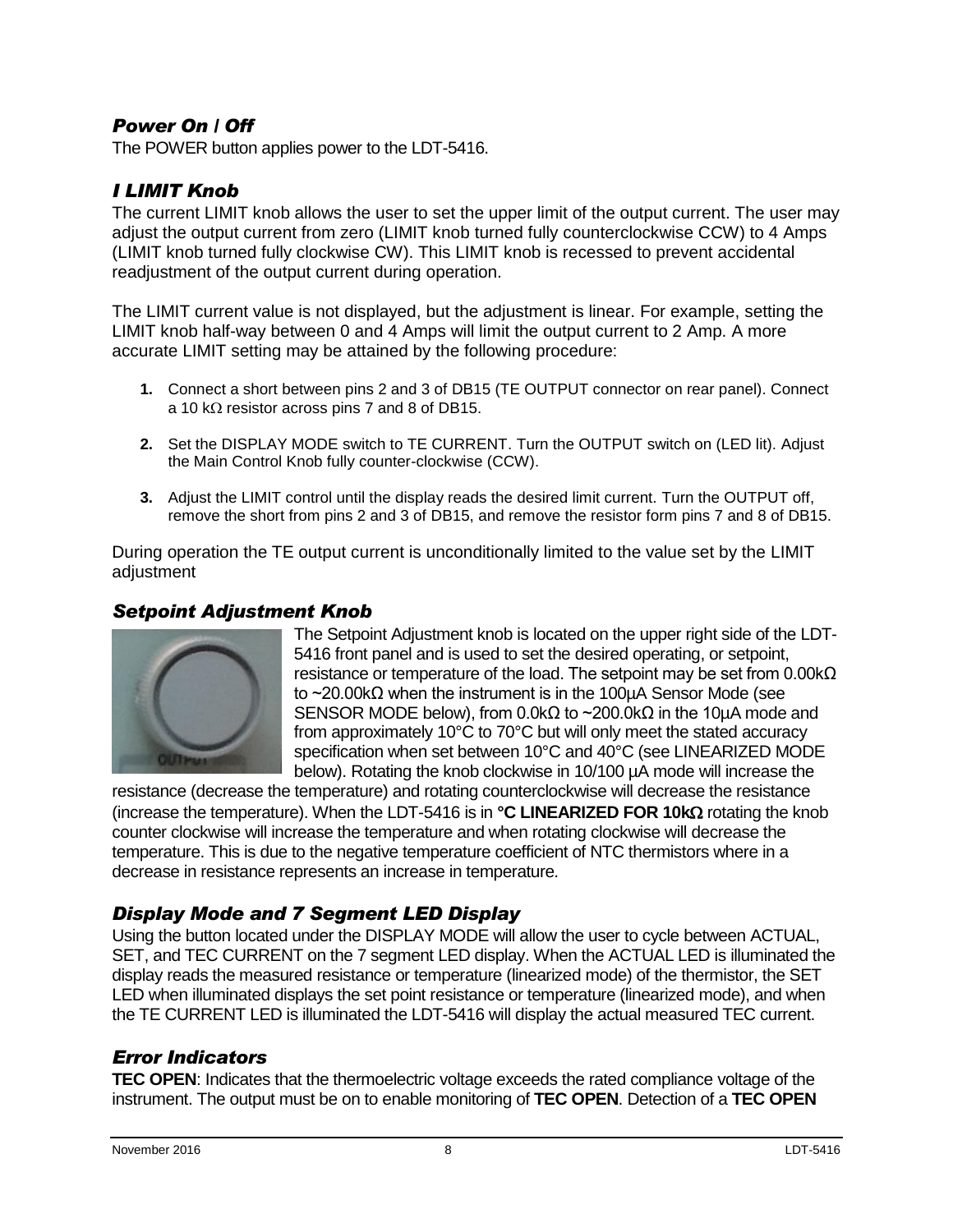## <span id="page-17-0"></span>*General Guidelines for Sensor Selection and Safety Limits*

This section presents some guidelines to assist in selecting the optimal settings for your application.

### <span id="page-17-1"></span>*Sensor Options*

The LDT-5416 Thermoelectric Temperature Controller can measure resistance of a thermistor and display the output either in resistance or a calculated temperature. When the rear panel switch is set to 100µA or 10µA the LDT-5416 will display resistance. When the rear panel switch is set to  $°C$  LINEARIZED FOR 10k $\Omega$  the LDT-5416 will display a calculated temperature.

### *Thermistor Range*

Thermistors can span a wide temperature range, but their practical range is limited by their nonlinear resistance properties. As the sensed temperature increases, the resistance of the thermistor decreases significantly and the thermistor resistance changes less for an equivalent temperature change, therefore the thermistor becomes less sensitive. Consider the temperature and sensitivity figures in Table 2.2.

| <b>Temperature</b> | <b>Sensitivity</b> |
|--------------------|--------------------|
| $-20^{\circ}$ C    | 5600 O/°C          |
| 25°C               | 439 $O$ /°C        |
| ნი∘ი               | 137 $O$ /°C        |

| Table 2.2 Thermistor Sensitivity Values |
|-----------------------------------------|
|-----------------------------------------|

In the LDT-5416 the practical upper temperature limit is the temperature at which the thermistor becomes insensitive to temperature changes. The lower end of the temperature range is limited by the maximum input voltage of the LDT-5416. Thermistor resistance and voltage are related through Ohms Law (V =  $1 \times R$ ). The LDT-5416 supplies current to the thermistor, either 10 $\mu$ A or 100µA, and as the resistance changes, a changing voltage signal is available to the thermistor inputs of the LDT-5416. The LDT-5416 will over-range when the input voltage exceeds about 2.0 Volts. The maximum temperature ranges for a typical 10kΩ thermistor (a 10kΩ thermistor has a resistance of 10kΩ ohms at 25°C) are given in Table 2.3 below.

| Table 2.3 Temperature Ranges (10 $k\Omega$ Thermistor) |  |  |
|--------------------------------------------------------|--|--|
|--------------------------------------------------------|--|--|

| Temperature | <b>Sensitivity</b>                      |
|-------------|-----------------------------------------|
| 10 µA       | -37°C to over +60°C                     |
| $100 \mu A$ | $+8^{\circ}$ C to over $+100^{\circ}$ C |

### *Selecting and Using Thermistors*

The type of thermistor you choose will depend primarily on the operating temperature range. From Figure 2.3 you can also see that 10kΩ thermistors are generally a good choice for most laser diode applications where high stability is required at near room temperatures. Similarly, 5kΩ thermistors are often a good choice for detector cooling applications where you want to operate at temperatures from -30°C to room temperature. Much higher or lower temperature ranges can be controlled through the use of higher or lower resistance thermistors. For more information on thermistor selection, see ILX Lightwave Application Note #2, Selecting and Using Thermistors for Temperature Control.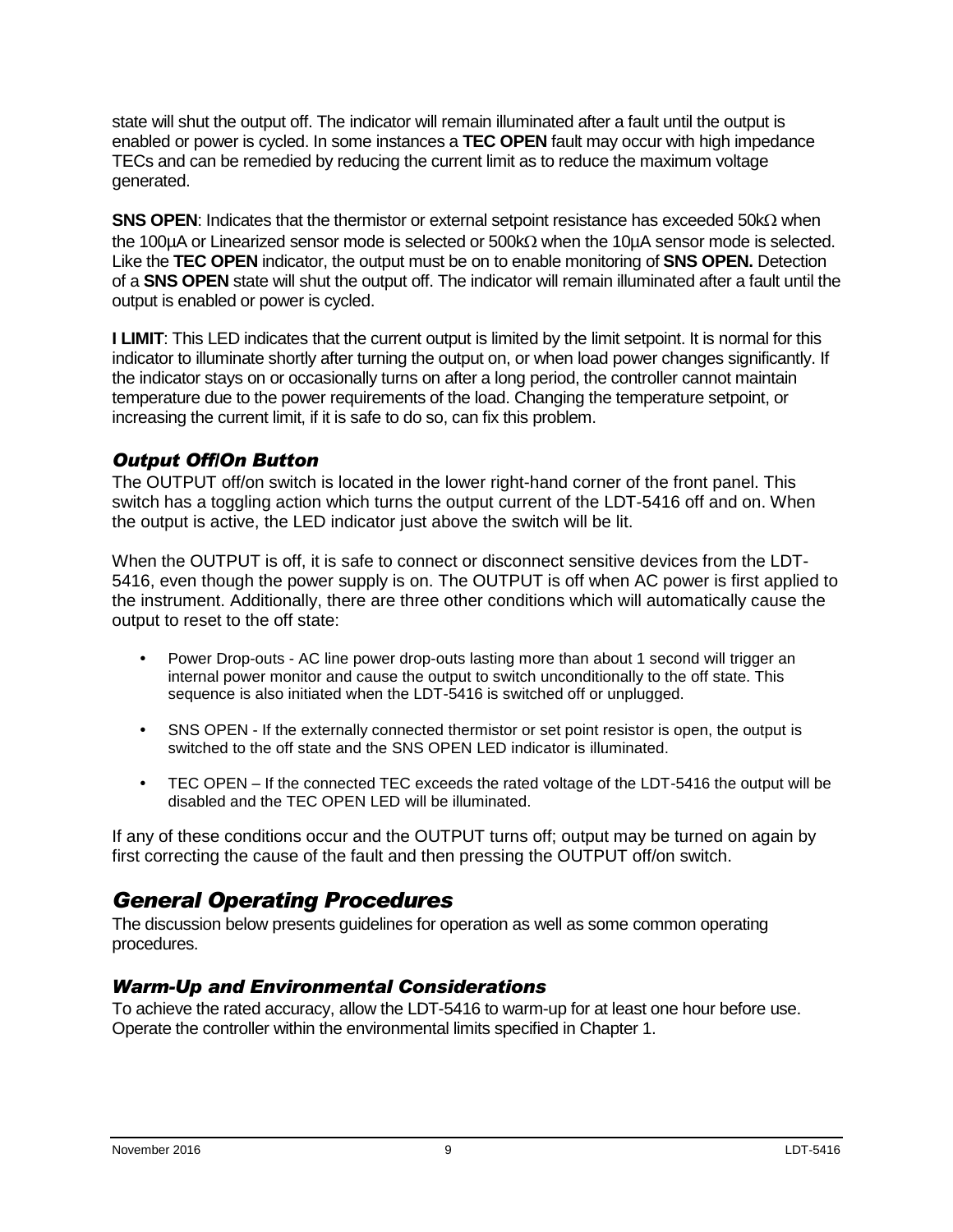

**Figure 2.3 Thermistor Temperature Range**

### *Temperature from Resistance*

The LDT-5416 Thermoelectric Temperature Controller primarily displays resistance of the thermistor; several methods can be used to convert the resistance to a temperature.

**Resistance-Temperature Conversions Charts -** Most thermistor manufacturers will supply a resistance - temperature (R-T) chart for their thermistors. These charts provide a direct and simple conversion. Although the temperature accuracy will not be better than the tolerance of the thermistor, this accuracy may be more than adequate for most applications. If temperature accuracy to within 1°C is all that is required, this method is the best.

In many cases the manufacturer will supply a universal conversion table for each particular thermistor material type that they sell. This table is used for all 25°C nominal resistance value thermistors made of that material. In these tables the resistance is not given directly. But rather, a scaling factor is given at each temperature. Resistance is found then by multiplying the nominal resistance value by the scaling factor at a given temperature. The scaling factor is often represented as the ratio  $R_T/R_{25}$ .

For example, if the thermistor is rated as a 10kΩ thermistor, then  $R_{25}$  = 10,000Ω (the resistance at 25°C). To find the resistance at 10°C, find the ratio factor at 10°C as supplied by the manufacturer. If the ratio was 1.99, then the resistance at 10<sup>o</sup>C would be 10,000 x 1.99 = 19,900Ω.

Table 2.4 shows some typical values of resistance ratios and temperatures for a thermistor.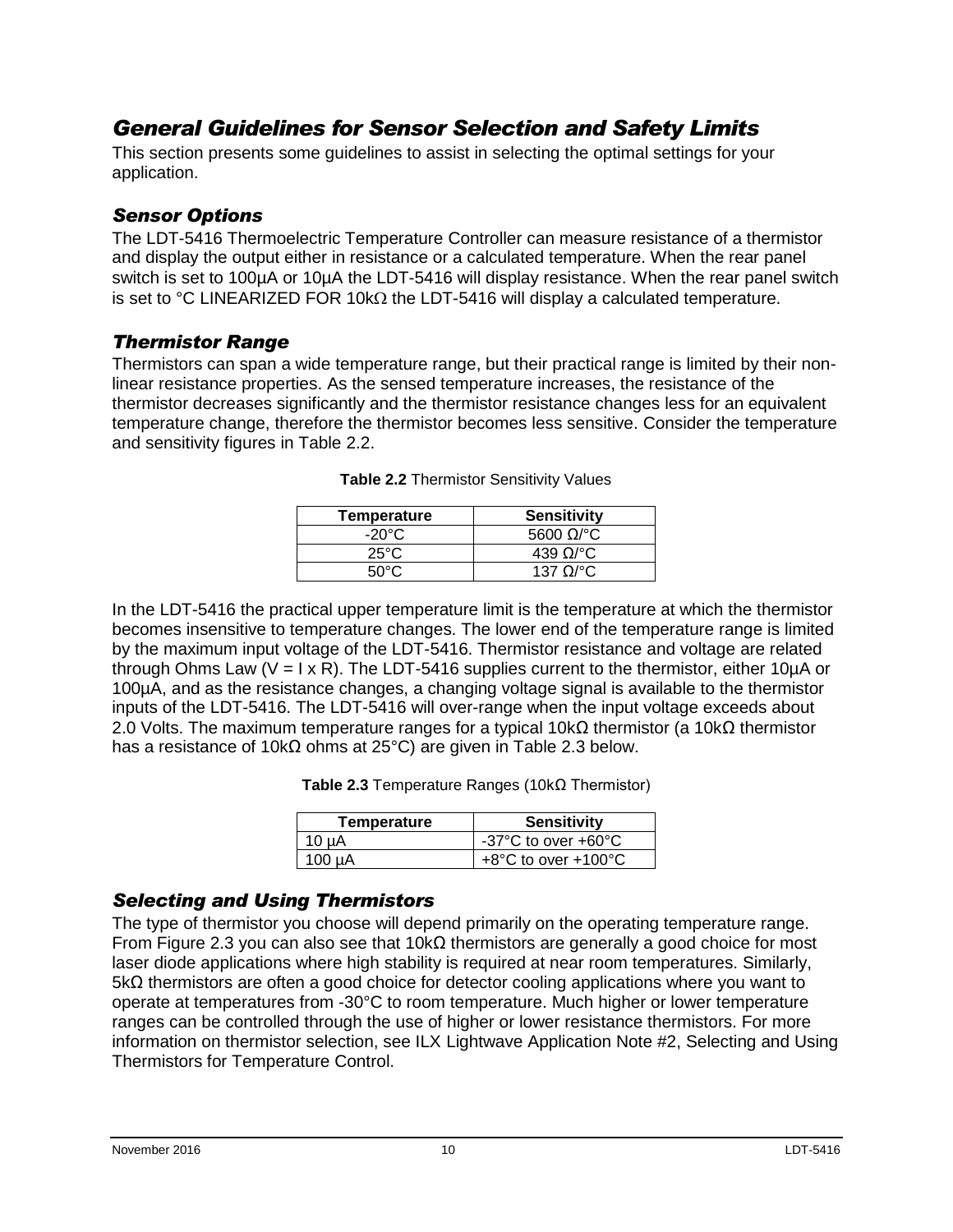| Temperature in °C | $R_{T}/R_{25}$ |
|-------------------|----------------|
| 10                | 1.990          |
| 11                | 1.897          |
| 12                | 1.809          |
| 13                | 1.726          |
| 14                | 1.646          |
| 15                | 1.571          |

|  |  |  | Table 2.4 Typical Thermistor R/T Data |  |  |  |
|--|--|--|---------------------------------------|--|--|--|
|--|--|--|---------------------------------------|--|--|--|

**Use of the Steinhart-Hart Equation** - The Steinhart-Hart equation accurately models the nonlinear R-T characteristic curve of a negative temperature coefficient (NTC) thermistor. When the correct constants for a thermistor are known, the Steinhart-Hart equation can be used to convert between resistance and temperature. This method offers the advantage of accurately calculating R-T values at any point on the curve, not just those supplied by the manufacturer.

There are several forms of the Steinhart-Hart equation. The form of the Steinhart-Hart equation which is used by ILX Lightwave is:

$$
\frac{1}{T} = C_1 + C_2 (Ln R) + C_3 (Ln R)^3
$$

Where R is the resistance in ohms;  $C_1$ ,  $C_2$ , and  $C_3$  are the Steinhart-Hart constants for a particular thermistor.

These constants may be derived specifically for each thermistor, or the nominal value for a thermistor may be used (see ILX Lightwave Application Note #4 Thermistor Calibration and the Steinhart-Hart Equation). ILX Lightwave supplies the Steinhart-Hart constants when a TS-510 calibrated thermistor is purchased.

**Linearized Thermistor Mode** – For users wanting to display a calculated temperature without using one of the methods above the LDT-5416 has a unique mode that when selected will display and control to a calculated temperature. To use this mode the LDT-5416 sensor select switch must be set to **°C LINEARIZED FOR 10kΩ**. This mode can only be used with 10kΩ thermistors with 1% accuracy and a Beta of 3900 to 4050. In this mode, the display will show temperature with an accuracy of  $\pm 1.0^{\circ}$ C. For users requiring higher accuracy or not using a  $10k\Omega$  thermistor one of the other methods above should be used.

## **WARNING**

**Use of 10kΩ thermistors with accuracy greater than 1% and a Beta value outside of the range of 3900 to 4050 can result in temperature readings exceeding ±1.0°C of set point. Potential damage to the load may occur due to inaccurate set points.**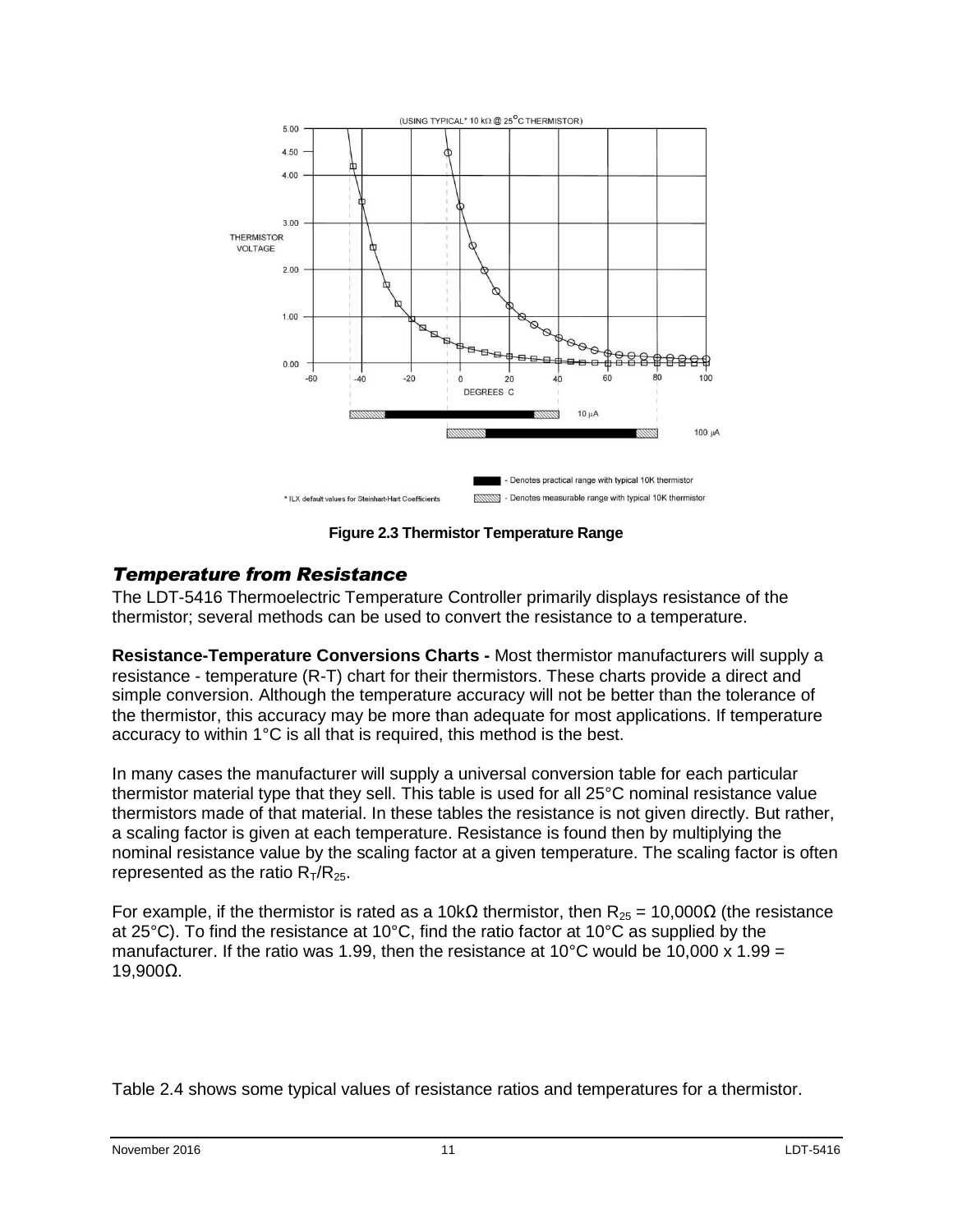## <span id="page-20-0"></span>*General Operation*

- 1. Plug the LDT-5416 into an AC power source within the specified range of the instrument.
- 2. Turn on the LDT-5416 by pressing and releasing the power switch to latch it to the on position. The output will be disabled at power up and the unit display mode will power up in the same mode which existed when the power was last shut off
- 3. Set the maximum current for the TE module by adjusting the **I LIMIT** control.
- 4. Set the rear panel **THERMISTOR MODE** switch to an acceptable current for your sensor. If using a 10kΩ thermistor you can use the **°C LINEARIZED FOR 10kΩ** mode to display and control temperature.
- 5. For front panel setpoint control, ensure the **SET RESISTANCE** switch on the rear panel is set to the **INT** position. Press the **DISPLAY MODE** button until **SET** is illuminated. Adjust the setpoint on the display using the large setpoint knob.

For fixed external control, ensure the **SET RESISTANCE** switch on the rear panel is set to **EXT** and an external resistor is connected between pin 5 and 6 of the **OUTPUT** connector. The setpoint resistance can be verified on the front panel by pressing the **DISPLAY MODE** button until **SET** is illuminated.

- 6. Ensure that the TE module and thermistor are connected to the OUTPUT connector and turn the OUTPUT on. The indicator above the ON button will illuminate when the output is on.
- 7. Press the **DISPLAY MODE** button until **ACTUAL** is illuminated to monitor the sensor resistance/temperature. If the resistance does not settle at the set point, but instead oscillates by more than one significant digit around the setpoint, turn the **GAIN** control adjustment on the rear panel counter-clockwise to decrease the gain. Alternatively if it is taking a long time to get to the setpoint, the **GAIN** control can be adjusted clockwise to increase the gain.
- 8. TE current can be monitored at any point during operation by pressing the **DISPLAY MODE** button until **TE CURRENT** is illuminated.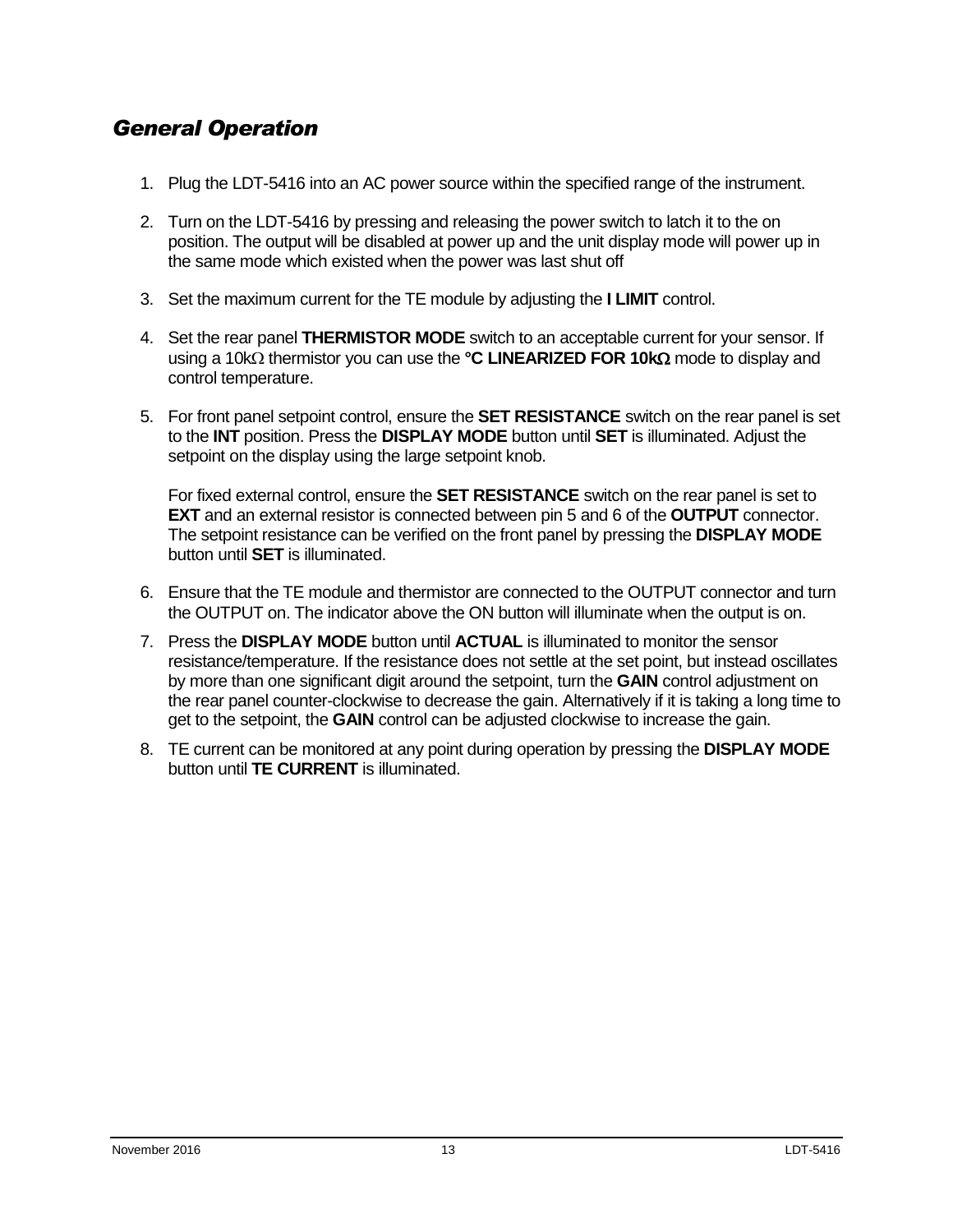# *Chapter 3: Troubleshooting*

<span id="page-22-0"></span>This chapter will help you resolve any problems you may experience with your LDT-5416. If you need additional help, please contact ILX Lightwave Customer Service.

ILX Lightwave Corporation provides in-house calibration services for ILX instruments. International customers may contact our service centers for regional calibration support. Most ILX instruments, including the LDT-5416 require yearly calibration to ensure performance to published specifications. ILX factory calibrations employ NIST traceable measurement instrumentation, and our calibration engineers and technicians use automated test equipment to accurately and efficiently capture and record calibration data. An original certificate of calibration is provided with all instrument calibrations, and a detailed report showing any pre-calibration out-of-tolerance conditions is available upon request.

Calibration turn-around times are normally ten business days or less. Please contact ILX Customer Support for additional calibration information.

For further assistance with technical solutions and troubleshooting, visit us online at www.newport.com/ilxlightwave.